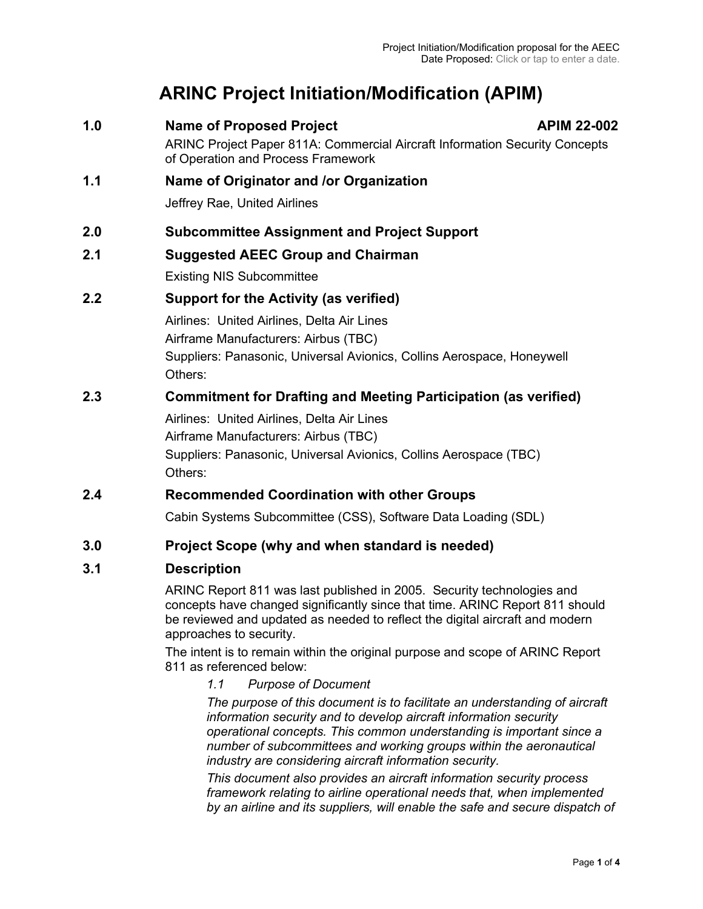# **ARINC Project Initiation/Modification (APIM)**

1.0 **Name of Proposed Project** APIM 22-002 ARINC Project Paper 811A: Commercial Aircraft Information Security Concepts of Operation and Process Framework **1.1 Name of Originator and /or Organization** Jeffrey Rae, United Airlines **2.0 Subcommittee Assignment and Project Support 2.1 Suggested AEEC Group and Chairman** Existing NIS Subcommittee **2.2 Support for the Activity (as verified)** Airlines: United Airlines, Delta Air Lines Airframe Manufacturers: Airbus (TBC) Suppliers: Panasonic, Universal Avionics, Collins Aerospace, Honeywell Others: **2.3 Commitment for Drafting and Meeting Participation (as verified)** Airlines: United Airlines, Delta Air Lines Airframe Manufacturers: Airbus (TBC) Suppliers: Panasonic, Universal Avionics, Collins Aerospace (TBC) Others: **2.4 Recommended Coordination with other Groups** Cabin Systems Subcommittee (CSS), Software Data Loading (SDL)

# **3.0 Project Scope (why and when standard is needed)**

# **3.1 Description**

ARINC Report 811 was last published in 2005. Security technologies and concepts have changed significantly since that time. ARINC Report 811 should be reviewed and updated as needed to reflect the digital aircraft and modern approaches to security.

The intent is to remain within the original purpose and scope of ARINC Report 811 as referenced below:

*1.1 Purpose of Document*

*The purpose of this document is to facilitate an understanding of aircraft information security and to develop aircraft information security operational concepts. This common understanding is important since a number of subcommittees and working groups within the aeronautical industry are considering aircraft information security.* 

*This document also provides an aircraft information security process framework relating to airline operational needs that, when implemented by an airline and its suppliers, will enable the safe and secure dispatch of*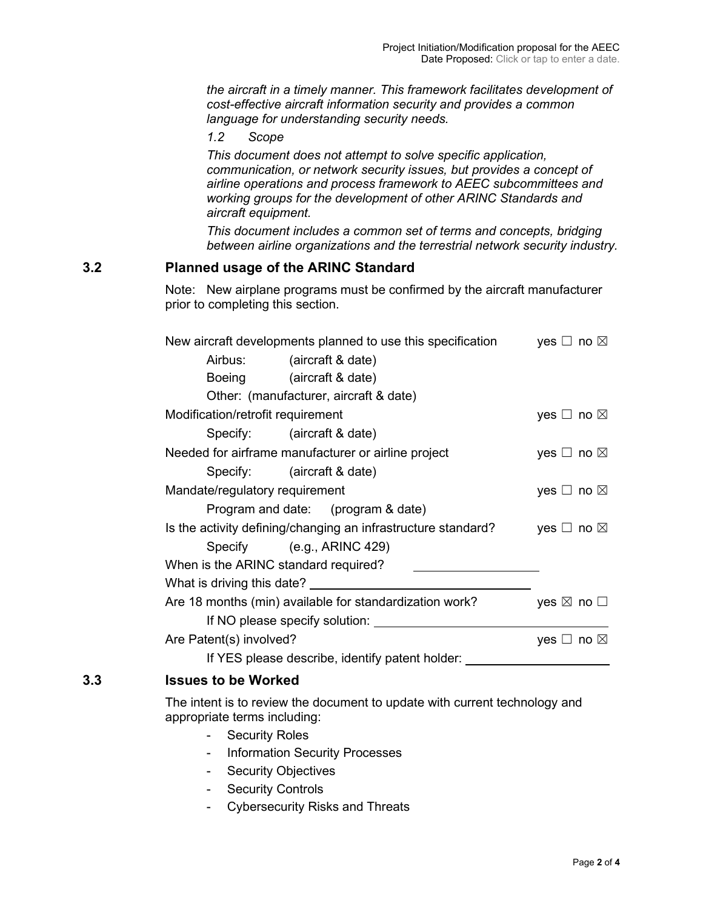*the aircraft in a timely manner. This framework facilitates development of cost-effective aircraft information security and provides a common language for understanding security needs.*

*1.2 Scope*

*This document does not attempt to solve specific application, communication, or network security issues, but provides a concept of airline operations and process framework to AEEC subcommittees and working groups for the development of other ARINC Standards and aircraft equipment.*

*This document includes a common set of terms and concepts, bridging between airline organizations and the terrestrial network security industry.*

## **3.2 Planned usage of the ARINC Standard**

Note: New airplane programs must be confirmed by the aircraft manufacturer prior to completing this section.

| New aircraft developments planned to use this specification | yes $\Box$ no $\boxtimes$                                     |                           |
|-------------------------------------------------------------|---------------------------------------------------------------|---------------------------|
|                                                             | Airbus: (aircraft & date)                                     |                           |
|                                                             | Boeing (aircraft & date)                                      |                           |
|                                                             | Other: (manufacturer, aircraft & date)                        |                           |
| Modification/retrofit requirement                           |                                                               | yes $\Box$ no $\boxtimes$ |
|                                                             | Specify: (aircraft & date)                                    |                           |
| Needed for airframe manufacturer or airline project         | yes $\Box$ no $\boxtimes$                                     |                           |
|                                                             | Specify: (aircraft & date)                                    |                           |
| Mandate/regulatory requirement                              | yes $\Box$ no $\boxtimes$                                     |                           |
|                                                             | Program and date: (program & date)                            |                           |
|                                                             | Is the activity defining/changing an infrastructure standard? | yes $\Box$ no $\boxtimes$ |
|                                                             | Specify (e.g., ARINC 429)                                     |                           |
| When is the ARINC standard required?                        |                                                               |                           |
| What is driving this date? _                                |                                                               |                           |
| Are 18 months (min) available for standardization work?     | yes $\boxtimes$ no $\square$                                  |                           |
|                                                             | If NO please specify solution:                                |                           |
| Are Patent(s) involved?                                     |                                                               | yes $\Box$ no $\boxtimes$ |
|                                                             | If YES please describe, identify patent holder:               |                           |

## **3.3 Issues to be Worked**

The intent is to review the document to update with current technology and appropriate terms including:

- Security Roles
- Information Security Processes
- Security Objectives
- Security Controls
- Cybersecurity Risks and Threats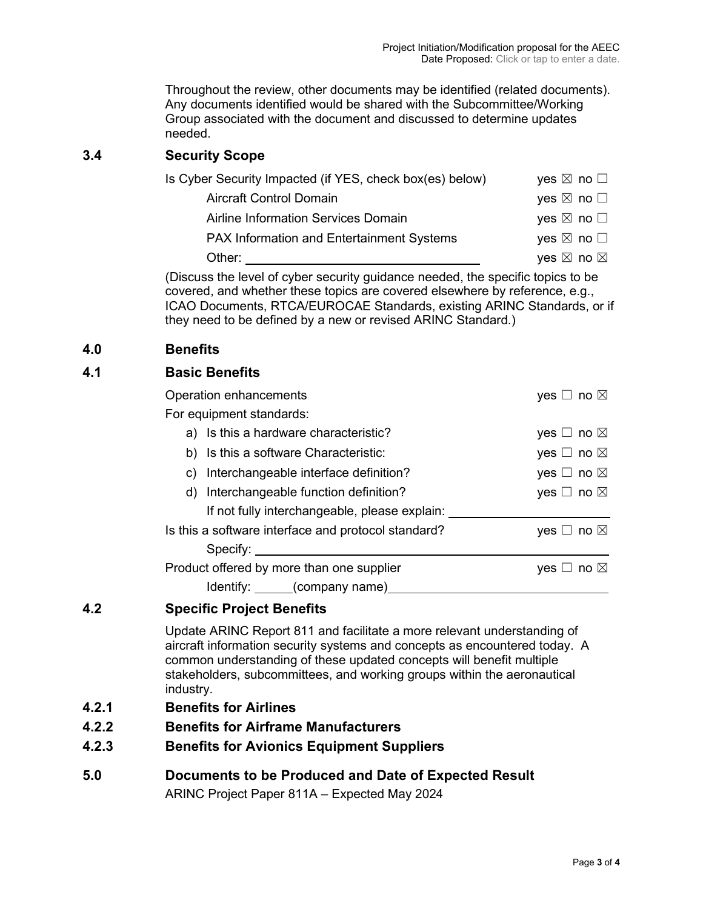Project Initiation/Modification proposal for the AEEC Date Proposed: Click or tap to enter a date.

Throughout the review, other documents may be identified (related documents). Any documents identified would be shared with the Subcommittee/Working Group associated with the document and discussed to determine updates needed.

## **3.4 Security Scope**

| Is Cyber Security Impacted (if YES, check box(es) below) | yes $\boxtimes$ no $\Box$ |
|----------------------------------------------------------|---------------------------|
| <b>Aircraft Control Domain</b>                           | yes $\boxtimes$ no $\Box$ |
| Airline Information Services Domain                      | yes $\boxtimes$ no $\Box$ |
| <b>PAX Information and Entertainment Systems</b>         | yes $\boxtimes$ no $\Box$ |
| Other:                                                   | yes ⊠ no ⊠                |

(Discuss the level of cyber security guidance needed, the specific topics to be covered, and whether these topics are covered elsewhere by reference, e.g., ICAO Documents, RTCA/EUROCAE Standards, existing ARINC Standards, or if they need to be defined by a new or revised ARINC Standard.)

#### **4.0 Benefits**

#### **4.1 Basic Benefits**

| Operation enhancements                              | yes $\Box$ no $\boxtimes$ |
|-----------------------------------------------------|---------------------------|
| For equipment standards:                            |                           |
| a) Is this a hardware characteristic?               | yes $\Box$ no $\boxtimes$ |
| b) Is this a software Characteristic:               | yes $\Box$ no $\boxtimes$ |
| c) Interchangeable interface definition?            | yes $\Box$ no $\boxtimes$ |
| d) Interchangeable function definition?             | yes $\Box$ no $\boxtimes$ |
| If not fully interchangeable, please explain:       |                           |
| Is this a software interface and protocol standard? | yes $\Box$ no $\boxtimes$ |
| Specify: <u>www.community:</u>                      |                           |
| Product offered by more than one supplier           | _l no ⊠<br><b>ves</b>     |
| Identify: _____(company name)                       |                           |

# **4.2 Specific Project Benefits**

Update ARINC Report 811 and facilitate a more relevant understanding of aircraft information security systems and concepts as encountered today. A common understanding of these updated concepts will benefit multiple stakeholders, subcommittees, and working groups within the aeronautical industry.

- **4.2.1 Benefits for Airlines**
- **4.2.2 Benefits for Airframe Manufacturers**
- **4.2.3 Benefits for Avionics Equipment Suppliers**
- **5.0 Documents to be Produced and Date of Expected Result** ARINC Project Paper 811A – Expected May 2024